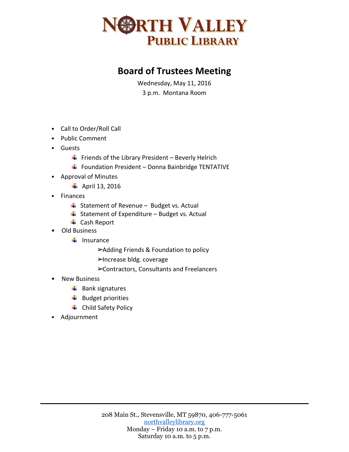

## **Board of Trustees Meeting**

Wednesday, May 11, 2016 3 p.m. Montana Room

- Call to Order/Roll Call
- Public Comment
- Guests
	- $\ddot{+}$  Friends of the Library President Beverly Helrich
	- $\ddot{+}$  Foundation President Donna Bainbridge TENTATIVE
- Approval of Minutes
	- $\overline{\phantom{a}}$  April 13, 2016
- Finances
	- $\frac{4}{3}$  Statement of Revenue Budget vs. Actual
	- $\overline{\phantom{a}}$  Statement of Expenditure Budget vs. Actual
	- **↓** Cash Report
- Old Business
	- $\frac{1}{2}$  Insurance
		- ➢Adding Friends & Foundation to policy
		- ➢Increase bldg. coverage
		- ➢Contractors, Consultants and Freelancers
- New Business
	- $\overline{\phantom{a}}$  Bank signatures
	- $\ddot{ }$  Budget priorities
	- **↓** Child Safety Policy
- Adjournment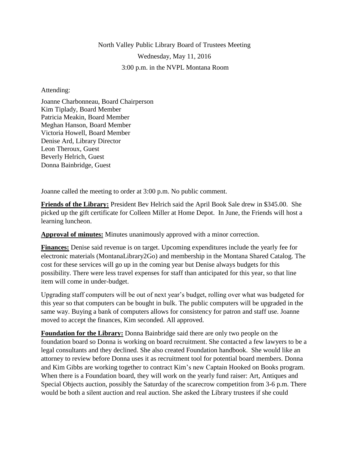North Valley Public Library Board of Trustees Meeting Wednesday, May 11, 2016 3:00 p.m. in the NVPL Montana Room

## Attending:

Joanne Charbonneau, Board Chairperson Kim Tiplady, Board Member Patricia Meakin, Board Member Meghan Hanson, Board Member Victoria Howell, Board Member Denise Ard, Library Director Leon Theroux, Guest Beverly Helrich, Guest Donna Bainbridge, Guest

Joanne called the meeting to order at 3:00 p.m. No public comment.

**Friends of the Library:** President Bev Helrich said the April Book Sale drew in \$345.00. She picked up the gift certificate for Colleen Miller at Home Depot. In June, the Friends will host a learning luncheon.

**Approval of minutes:** Minutes unanimously approved with a minor correction.

**Finances:** Denise said revenue is on target. Upcoming expenditures include the yearly fee for electronic materials (MontanaLibrary2Go) and membership in the Montana Shared Catalog. The cost for these services will go up in the coming year but Denise always budgets for this possibility. There were less travel expenses for staff than anticipated for this year, so that line item will come in under-budget.

Upgrading staff computers will be out of next year's budget, rolling over what was budgeted for this year so that computers can be bought in bulk. The public computers will be upgraded in the same way. Buying a bank of computers allows for consistency for patron and staff use. Joanne moved to accept the finances, Kim seconded. All approved.

**Foundation for the Library:** Donna Bainbridge said there are only two people on the foundation board so Donna is working on board recruitment. She contacted a few lawyers to be a legal consultants and they declined. She also created Foundation handbook. She would like an attorney to review before Donna uses it as recruitment tool for potential board members. Donna and Kim Gibbs are working together to contract Kim's new Captain Hooked on Books program. When there is a Foundation board, they will work on the yearly fund raiser: Art, Antiques and Special Objects auction, possibly the Saturday of the scarecrow competition from 3-6 p.m. There would be both a silent auction and real auction. She asked the Library trustees if she could